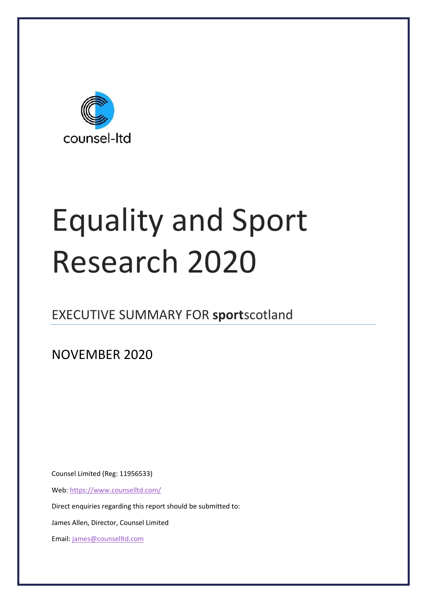

# Equality and Sport Research 2020

## EXECUTIVE SUMMARY FOR **sport**scotland

NOVEMBER 2020

Counsel Limited (Reg: 11956533)

Web[: https://www.counselltd.com/](https://www.counselltd.com/)

Direct enquiries regarding this report should be submitted to:

James Allen, Director, Counsel Limited

Email[: james@counselltd.com](mailto:james@counselltd.com)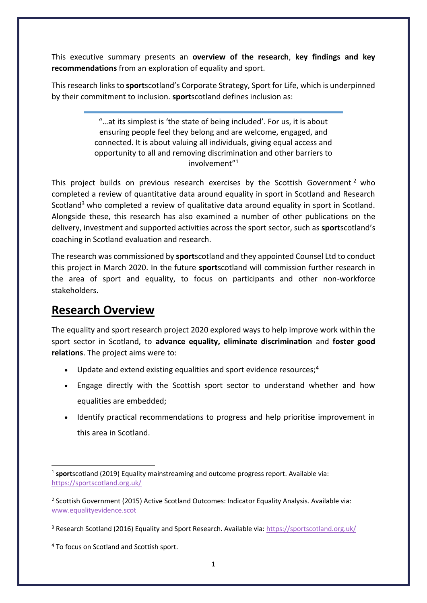This executive summary presents an **overview of the research**, **key findings and key recommendations** from an exploration of equality and sport.

This research links to **sport**scotland's Corporate Strategy, Sport for Life, which is underpinned by their commitment to inclusion. **sport**scotland defines inclusion as:

> "…at its simplest is 'the state of being included'. For us, it is about ensuring people feel they belong and are welcome, engaged, and connected. It is about valuing all individuals, giving equal access and opportunity to all and removing discrimination and other barriers to involvement"<sup>1</sup>

This project builds on previous research exercises by the Scottish Government<sup>2</sup> who completed a review of quantitative data around equality in sport in Scotland and Research Scotland<sup>3</sup> who completed a review of qualitative data around equality in sport in Scotland. Alongside these, this research has also examined a number of other publications on the delivery, investment and supported activities across the sport sector, such as **sport**scotland's coaching in Scotland evaluation and research.

The research was commissioned by **sport**scotland and they appointed Counsel Ltd to conduct this project in March 2020. In the future **sport**scotland will commission further research in the area of sport and equality, to focus on participants and other non-workforce stakeholders.

### **Research Overview**

The equality and sport research project 2020 explored ways to help improve work within the sport sector in Scotland, to **advance equality, eliminate discrimination** and **foster good relations**. The project aims were to:

- Update and extend existing equalities and sport evidence resources; $4$
- Engage directly with the Scottish sport sector to understand whether and how equalities are embedded;
- Identify practical recommendations to progress and help prioritise improvement in this area in Scotland.

<sup>4</sup> To focus on Scotland and Scottish sport.

<sup>&</sup>lt;sup>1</sup> sportscotland (2019) Equality mainstreaming and outcome progress report. Available via: [https://sportscotland.org.uk/](about:blank)

<sup>&</sup>lt;sup>2</sup> Scottish Government (2015) Active Scotland Outcomes: Indicator Equality Analysis. Available via: [www.equalityevidence.scot](about:blank)

<sup>&</sup>lt;sup>3</sup> Research Scotland (2016) Equality and Sport Research. Available via: [https://sportscotland.org.uk/](about:blank)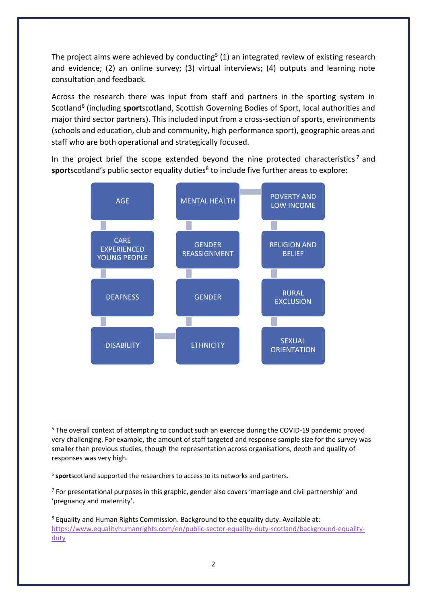The project aims were achieved by conducting<sup>5</sup> (1) an integrated review of existing research and evidence; (2) an online survey; (3) virtual interviews; (4) outputs and learning note consultation and feedback.

Across the research there was input from staff and partners in the sporting system in Scotland<sup>6</sup> (including sportscotland, Scottish Governing Bodies of Sport, local authorities and major third sector partners). This included input from a cross-section of sports, environments (schools and education, club and community, high performance sport), geographic areas and staff who are both operational and strategically focused.

In the project brief the scope extended beyond the nine protected characteristics<sup>7</sup> and sportscotland's public sector equality duties<sup>8</sup> to include five further areas to explore:



<sup>5</sup> The overall context of attempting to conduct such an exercise during the COVID-19 pandemic proved very challenging. For example, the amount of staff targeted and response sample size for the survey was smaller than previous studies, though the representation across organisations, depth and quality of responses was very high.

<sup>&</sup>lt;sup>6</sup> sportscotland supported the researchers to access to its networks and partners.

 $<sup>7</sup>$  For presentational purposes in this graphic, gender also covers 'marriage and civil partnership' and</sup> 'pregnancy and maternity'.

<sup>8</sup> Equality and Human Rights Commission. Background to the equality duty. Available at: [https://www.equalityhumanrights.com/en/public-sector-equality-duty-scotland/background-equality](about:blank)[duty](about:blank)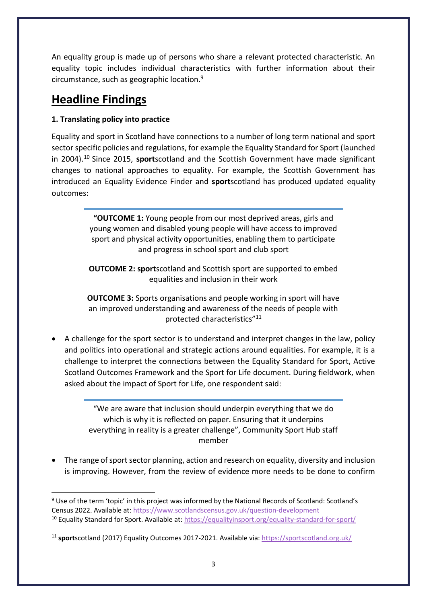An equality group is made up of persons who share a relevant protected characteristic. An equality topic includes individual characteristics with further information about their circumstance, such as geographic location.<sup>9</sup>

## **Headline Findings**

#### **1. Translating policy into practice**

Equality and sport in Scotland have connections to a number of long term national and sport sector specific policies and regulations, for example the Equality Standard for Sport (launched in 2004).<sup>10</sup> Since 2015, **sport**scotland and the Scottish Government have made significant changes to national approaches to equality. For example, the Scottish Government has introduced an Equality Evidence Finder and **sport**scotland has produced updated equality outcomes:

> **"OUTCOME 1:** Young people from our most deprived areas, girls and young women and disabled young people will have access to improved sport and physical activity opportunities, enabling them to participate and progress in school sport and club sport

> **OUTCOME 2: sport**scotland and Scottish sport are supported to embed equalities and inclusion in their work

> **OUTCOME 3:** Sports organisations and people working in sport will have an improved understanding and awareness of the needs of people with protected characteristics"<sup>11</sup>

• A challenge for the sport sector is to understand and interpret changes in the law, policy and politics into operational and strategic actions around equalities. For example, it is a challenge to interpret the connections between the Equality Standard for Sport, Active Scotland Outcomes Framework and the Sport for Life document. During fieldwork, when asked about the impact of Sport for Life, one respondent said:

> "We are aware that inclusion should underpin everything that we do which is why it is reflected on paper. Ensuring that it underpins everything in reality is a greater challenge", Community Sport Hub staff member

• The range of sport sector planning, action and research on equality, diversity and inclusion is improving. However, from the review of evidence more needs to be done to confirm

<sup>9</sup> Use of the term 'topic' in this project was informed by the National Records of Scotland: Scotland's Census 2022. Available at[: https://www.scotlandscensus.gov.uk/question-development](about:blank) <sup>10</sup> Equality Standard for Sport. Available at: [https://equalityinsport.org/equality-standard-for-sport/](about:blank)

<sup>11</sup> **sport**scotland (2017) Equality Outcomes 2017-2021. Available via: [https://sportscotland.org.uk/](about:blank)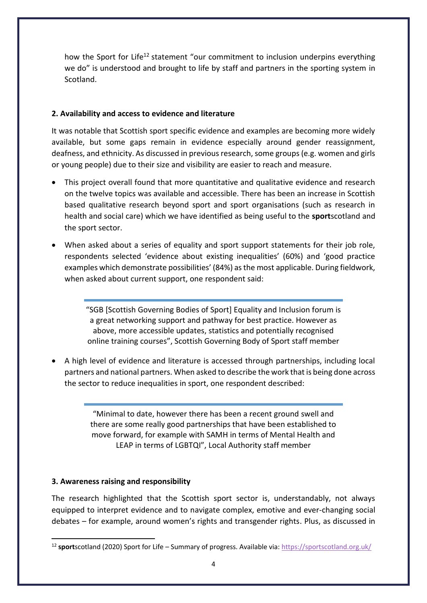how the Sport for Life<sup>12</sup> statement "our commitment to inclusion underpins everything we do" is understood and brought to life by staff and partners in the sporting system in Scotland.

#### **2. Availability and access to evidence and literature**

It was notable that Scottish sport specific evidence and examples are becoming more widely available, but some gaps remain in evidence especially around gender reassignment, deafness, and ethnicity. As discussed in previous research, some groups (e.g. women and girls or young people) due to their size and visibility are easier to reach and measure.

- This project overall found that more quantitative and qualitative evidence and research on the twelve topics was available and accessible. There has been an increase in Scottish based qualitative research beyond sport and sport organisations (such as research in health and social care) which we have identified as being useful to the **sport**scotland and the sport sector.
- When asked about a series of equality and sport support statements for their job role, respondents selected 'evidence about existing inequalities' (60%) and 'good practice examples which demonstrate possibilities' (84%) as the most applicable. During fieldwork, when asked about current support, one respondent said:

"SGB [Scottish Governing Bodies of Sport] Equality and Inclusion forum is a great networking support and pathway for best practice. However as above, more accessible updates, statistics and potentially recognised online training courses", Scottish Governing Body of Sport staff member

• A high level of evidence and literature is accessed through partnerships, including local partners and national partners. When asked to describe the work that is being done across the sector to reduce inequalities in sport, one respondent described:

> "Minimal to date, however there has been a recent ground swell and there are some really good partnerships that have been established to move forward, for example with SAMH in terms of Mental Health and LEAP in terms of LGBTQI", Local Authority staff member

#### **3. Awareness raising and responsibility**

The research highlighted that the Scottish sport sector is, understandably, not always equipped to interpret evidence and to navigate complex, emotive and ever-changing social debates – for example, around women's rights and transgender rights. Plus, as discussed in

<sup>12</sup> **sport**scotland (2020) Sport for Life – Summary of progress. Available via[: https://sportscotland.org.uk/](about:blank)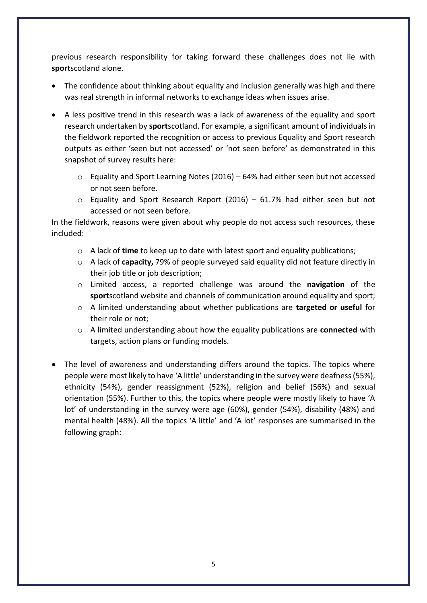previous research responsibility for taking forward these challenges does not lie with **sport**scotland alone.

- The confidence about thinking about equality and inclusion generally was high and there was real strength in informal networks to exchange ideas when issues arise.
- A less positive trend in this research was a lack of awareness of the equality and sport research undertaken by **sport**scotland. For example, a significant amount of individuals in the fieldwork reported the recognition or access to previous Equality and Sport research outputs as either 'seen but not accessed' or 'not seen before' as demonstrated in this snapshot of survey results here:
	- o Equality and Sport Learning Notes (2016) 64% had either seen but not accessed or not seen before.
	- $\circ$  Equality and Sport Research Report (2016) 61.7% had either seen but not accessed or not seen before.

In the fieldwork, reasons were given about why people do not access such resources, these included:

- o A lack of **time** to keep up to date with latest sport and equality publications;
- o A lack of **capacity,** 79% of people surveyed said equality did not feature directly in their job title or job description;
- o Limited access, a reported challenge was around the **navigation** of the **sport**scotland website and channels of communication around equality and sport;
- o A limited understanding about whether publications are **targeted or useful** for their role or not;
- o A limited understanding about how the equality publications are **connected** with targets, action plans or funding models.
- The level of awareness and understanding differs around the topics. The topics where people were most likely to have 'A little' understanding in the survey were deafness (55%), ethnicity (54%), gender reassignment (52%), religion and belief (56%) and sexual orientation (55%). Further to this, the topics where people were mostly likely to have 'A lot' of understanding in the survey were age (60%), gender (54%), disability (48%) and mental health (48%). All the topics 'A little' and 'A lot' responses are summarised in the following graph: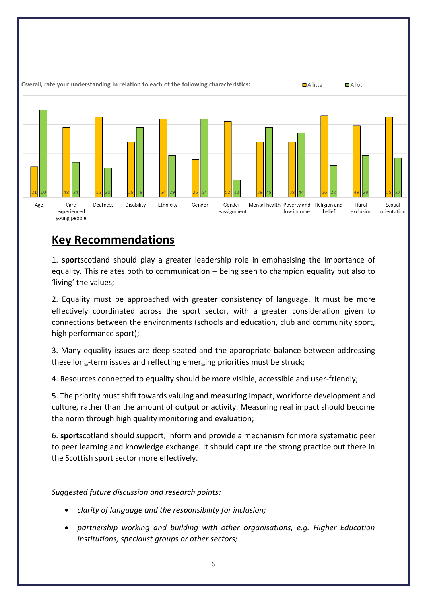

## **Key Recommendations**

1. **sport**scotland should play a greater leadership role in emphasising the importance of equality. This relates both to communication – being seen to champion equality but also to 'living' the values;

2. Equality must be approached with greater consistency of language. It must be more effectively coordinated across the sport sector, with a greater consideration given to connections between the environments (schools and education, club and community sport, high performance sport);

3. Many equality issues are deep seated and the appropriate balance between addressing these long-term issues and reflecting emerging priorities must be struck;

4. Resources connected to equality should be more visible, accessible and user-friendly;

5. The priority must shift towards valuing and measuring impact, workforce development and culture, rather than the amount of output or activity. Measuring real impact should become the norm through high quality monitoring and evaluation;

6. **sport**scotland should support, inform and provide a mechanism for more systematic peer to peer learning and knowledge exchange. It should capture the strong practice out there in the Scottish sport sector more effectively.

*Suggested future discussion and research points:*

- *clarity of language and the responsibility for inclusion;*
- *partnership working and building with other organisations, e.g. Higher Education Institutions, specialist groups or other sectors;*